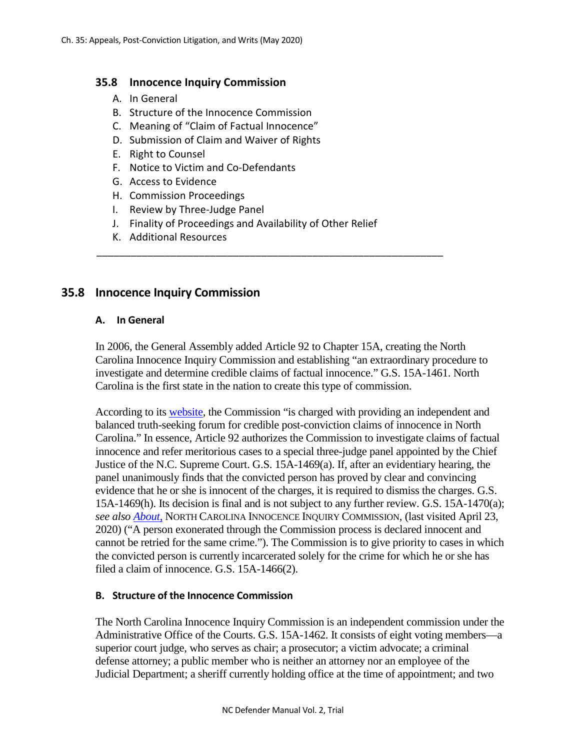#### **35.8 Innocence Inquiry Commission**

- A. In General
- B. Structure of the Innocence Commission
- C. Meaning of "Claim of Factual Innocence"
- D. Submission of Claim and Waiver of Rights
- E. Right to Counsel
- F. Notice to Victim and Co-Defendants
- G. Access to Evidence
- H. Commission Proceedings
- I. Review by Three-Judge Panel
- J. Finality of Proceedings and Availability of Other Relief

\_\_\_\_\_\_\_\_\_\_\_\_\_\_\_\_\_\_\_\_\_\_\_\_\_\_\_\_\_\_\_\_\_\_\_\_\_\_\_\_\_\_\_\_\_\_\_\_\_\_\_\_\_\_\_\_\_\_\_\_\_

K. Additional Resources

# **35.8 Innocence Inquiry Commission**

#### **A. In General**

In 2006, the General Assembly added Article 92 to Chapter 15A, creating the North Carolina Innocence Inquiry Commission and establishing "an extraordinary procedure to investigate and determine credible claims of factual innocence." G.S. 15A-1461. North Carolina is the first state in the nation to create this type of commission.

According to its [website,](http://innocencecommission-nc.gov/) the Commission "is charged with providing an independent and balanced truth-seeking forum for credible post-conviction claims of innocence in North Carolina." In essence, Article 92 authorizes the Commission to investigate claims of factual innocence and refer meritorious cases to a special three-judge panel appointed by the Chief Justice of the N.C. Supreme Court. G.S. 15A-1469(a). If, after an evidentiary hearing, the panel unanimously finds that the convicted person has proved by clear and convincing evidence that he or she is innocent of the charges, it is required to dismiss the charges. G.S. 15A-1469(h). Its decision is final and is not subject to any further review. G.S. 15A-1470(a); *see also [About](http://innocencecommission-nc.gov/about/)*, NORTH CAROLINA INNOCENCE INQUIRY COMMISSION, (last visited April 23, 2020) ("A person exonerated through the Commission process is declared innocent and cannot be retried for the same crime."). The Commission is to give priority to cases in which the convicted person is currently incarcerated solely for the crime for which he or she has filed a claim of innocence. G.S. 15A-1466(2).

#### **B. Structure of the Innocence Commission**

The North Carolina Innocence Inquiry Commission is an independent commission under the Administrative Office of the Courts. G.S. 15A-1462. It consists of eight voting members—a superior court judge, who serves as chair; a prosecutor; a victim advocate; a criminal defense attorney; a public member who is neither an attorney nor an employee of the Judicial Department; a sheriff currently holding office at the time of appointment; and two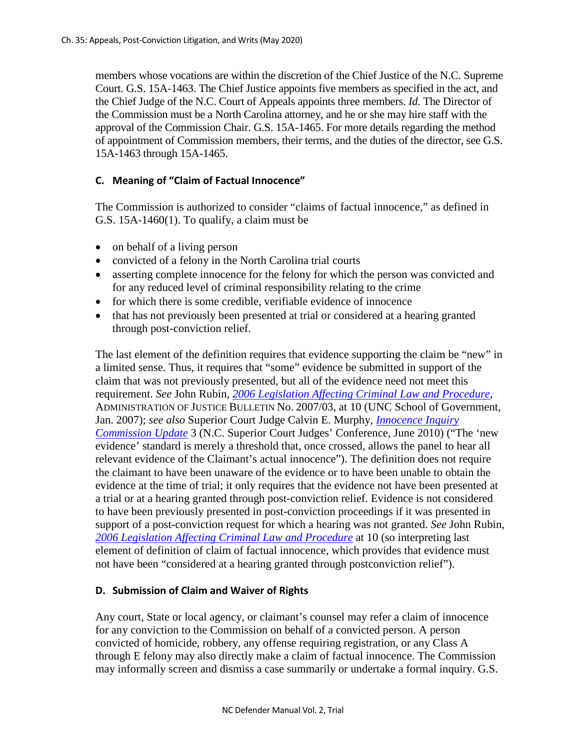members whose vocations are within the discretion of the Chief Justice of the N.C. Supreme Court. G.S. 15A-1463. The Chief Justice appoints five members as specified in the act, and the Chief Judge of the N.C. Court of Appeals appoints three members. *Id*. The Director of the Commission must be a North Carolina attorney, and he or she may hire staff with the approval of the Commission Chair. G.S. 15A-1465. For more details regarding the method of appointment of Commission members, their terms, and the duties of the director, see G.S. 15A-1463 through 15A-1465.

### **C. Meaning of "Claim of Factual Innocence"**

The Commission is authorized to consider "claims of factual innocence," as defined in G.S. 15A-1460(1). To qualify, a claim must be

- on behalf of a living person
- convicted of a felony in the North Carolina trial courts
- asserting complete innocence for the felony for which the person was convicted and for any reduced level of criminal responsibility relating to the crime
- for which there is some credible, verifiable evidence of innocence
- that has not previously been presented at trial or considered at a hearing granted through post-conviction relief.

The last element of the definition requires that evidence supporting the claim be "new" in a limited sense. Thus, it requires that "some" evidence be submitted in support of the claim that was not previously presented, but all of the evidence need not meet this requirement. *See* John Rubin*, [2006 Legislation Affecting Criminal Law and Procedure](https://www.sog.unc.edu/sites/www.sog.unc.edu/files/reports/aojb0703.pdf)*, ADMINISTRATION OF JUSTICE BULLETIN No. 2007/03, at 10 (UNC School of Government, Jan. 2007); *see also* Superior Court Judge Calvin E. Murphy, *[Innocence Inquiry](https://www.sog.unc.edu/sites/www.sog.unc.edu/files/course_materials/Murphy_InnocenceInquiryCommissionUpdate.pdf)  [Commission Update](https://www.sog.unc.edu/sites/www.sog.unc.edu/files/course_materials/Murphy_InnocenceInquiryCommissionUpdate.pdf)* 3 (N.C. Superior Court Judges' Conference, June 2010) ("The 'new evidence' standard is merely a threshold that, once crossed, allows the panel to hear all relevant evidence of the Claimant's actual innocence"). The definition does not require the claimant to have been unaware of the evidence or to have been unable to obtain the evidence at the time of trial; it only requires that the evidence not have been presented at a trial or at a hearing granted through post-conviction relief. Evidence is not considered to have been previously presented in post-conviction proceedings if it was presented in support of a post-conviction request for which a hearing was not granted. *See* John Rubin*, [2006 Legislation Affecting Criminal Law and Procedure](https://www.sog.unc.edu/publications/bulletins/2006-legislation-affecting-criminal-law-and-procedure)* at 10 (so interpreting last element of definition of claim of factual innocence, which provides that evidence must not have been "considered at a hearing granted through postconviction relief").

#### **D. Submission of Claim and Waiver of Rights**

Any court, State or local agency, or claimant's counsel may refer a claim of innocence for any conviction to the Commission on behalf of a convicted person. A person convicted of homicide, robbery, any offense requiring registration, or any Class A through E felony may also directly make a claim of factual innocence. The Commission may informally screen and dismiss a case summarily or undertake a formal inquiry. G.S.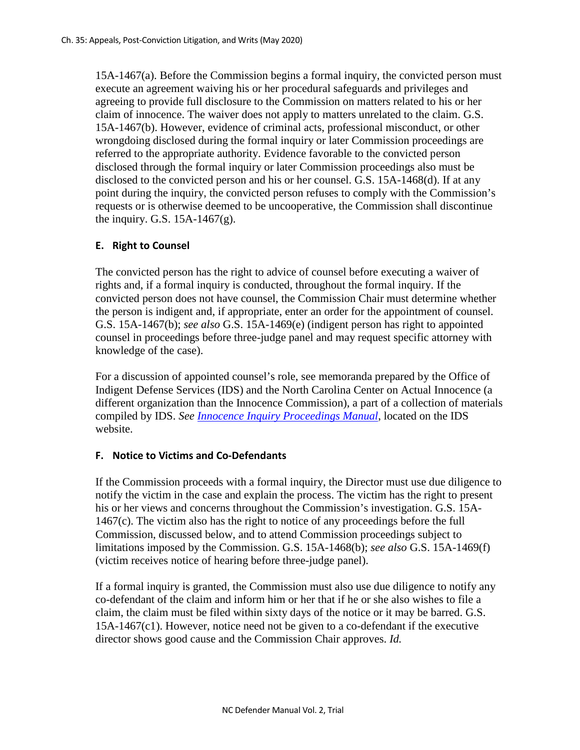15A-1467(a). Before the Commission begins a formal inquiry, the convicted person must execute an agreement waiving his or her procedural safeguards and privileges and agreeing to provide full disclosure to the Commission on matters related to his or her claim of innocence. The waiver does not apply to matters unrelated to the claim. G.S. 15A-1467(b). However, evidence of criminal acts, professional misconduct, or other wrongdoing disclosed during the formal inquiry or later Commission proceedings are referred to the appropriate authority. Evidence favorable to the convicted person disclosed through the formal inquiry or later Commission proceedings also must be disclosed to the convicted person and his or her counsel. G.S. 15A-1468(d). If at any point during the inquiry, the convicted person refuses to comply with the Commission's requests or is otherwise deemed to be uncooperative, the Commission shall discontinue the inquiry. G.S.  $15A-1467(g)$ .

### **E. Right to Counsel**

The convicted person has the right to advice of counsel before executing a waiver of rights and, if a formal inquiry is conducted, throughout the formal inquiry. If the convicted person does not have counsel, the Commission Chair must determine whether the person is indigent and, if appropriate, enter an order for the appointment of counsel. G.S. 15A-1467(b); *see also* G.S. 15A-1469(e) (indigent person has right to appointed counsel in proceedings before three-judge panel and may request specific attorney with knowledge of the case).

For a discussion of appointed counsel's role, see memoranda prepared by the Office of Indigent Defense Services (IDS) and the North Carolina Center on Actual Innocence (a different organization than the Innocence Commission), a part of a collection of materials compiled by IDS. *See [Innocence Inquiry Proceedings Manual](http://www.ncids.org/Other%20Manuals/Innocence%20Inquiry/Innocence%20Inquiry%20Links.htm)*, located on the IDS website.

#### **F. Notice to Victims and Co-Defendants**

If the Commission proceeds with a formal inquiry, the Director must use due diligence to notify the victim in the case and explain the process. The victim has the right to present his or her views and concerns throughout the Commission's investigation. G.S. 15A-1467(c). The victim also has the right to notice of any proceedings before the full Commission, discussed below, and to attend Commission proceedings subject to limitations imposed by the Commission. G.S. 15A-1468(b); *see also* G.S. 15A-1469(f) (victim receives notice of hearing before three-judge panel).

If a formal inquiry is granted, the Commission must also use due diligence to notify any co-defendant of the claim and inform him or her that if he or she also wishes to file a claim, the claim must be filed within sixty days of the notice or it may be barred. G.S. 15A-1467(c1). However, notice need not be given to a co-defendant if the executive director shows good cause and the Commission Chair approves. *Id.*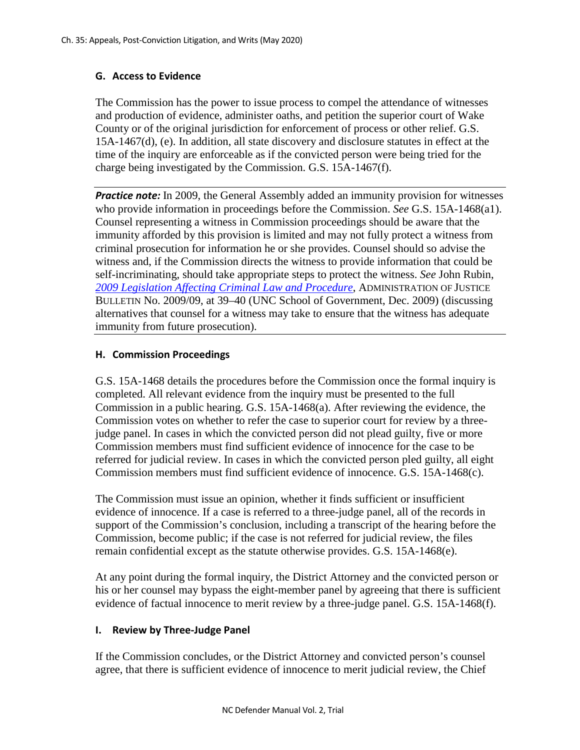## **G. Access to Evidence**

The Commission has the power to issue process to compel the attendance of witnesses and production of evidence, administer oaths, and petition the superior court of Wake County or of the original jurisdiction for enforcement of process or other relief. G.S. 15A-1467(d), (e). In addition, all state discovery and disclosure statutes in effect at the time of the inquiry are enforceable as if the convicted person were being tried for the charge being investigated by the Commission. G.S. 15A-1467(f).

**Practice note:** In 2009, the General Assembly added an immunity provision for witnesses who provide information in proceedings before the Commission. *See* G.S. 15A-1468(a1). Counsel representing a witness in Commission proceedings should be aware that the immunity afforded by this provision is limited and may not fully protect a witness from criminal prosecution for information he or she provides. Counsel should so advise the witness and, if the Commission directs the witness to provide information that could be self-incriminating, should take appropriate steps to protect the witness. *See* John Rubin, *[2009 Legislation Affecting Criminal Law and Procedure](https://www.sog.unc.edu/sites/www.sog.unc.edu/files/reports/aojb0909.pdf)*, ADMINISTRATION OF JUSTICE BULLETIN No. 2009/09, at 39–40 (UNC School of Government, Dec. 2009) (discussing alternatives that counsel for a witness may take to ensure that the witness has adequate immunity from future prosecution).

### **H. Commission Proceedings**

G.S. 15A-1468 details the procedures before the Commission once the formal inquiry is completed. All relevant evidence from the inquiry must be presented to the full Commission in a public hearing. G.S. 15A-1468(a). After reviewing the evidence, the Commission votes on whether to refer the case to superior court for review by a threejudge panel. In cases in which the convicted person did not plead guilty, five or more Commission members must find sufficient evidence of innocence for the case to be referred for judicial review. In cases in which the convicted person pled guilty, all eight Commission members must find sufficient evidence of innocence. G.S. 15A-1468(c).

The Commission must issue an opinion, whether it finds sufficient or insufficient evidence of innocence. If a case is referred to a three-judge panel, all of the records in support of the Commission's conclusion, including a transcript of the hearing before the Commission, become public; if the case is not referred for judicial review, the files remain confidential except as the statute otherwise provides. G.S. 15A-1468(e).

At any point during the formal inquiry, the District Attorney and the convicted person or his or her counsel may bypass the eight-member panel by agreeing that there is sufficient evidence of factual innocence to merit review by a three-judge panel. G.S. 15A-1468(f).

#### **I. Review by Three-Judge Panel**

If the Commission concludes, or the District Attorney and convicted person's counsel agree, that there is sufficient evidence of innocence to merit judicial review, the Chief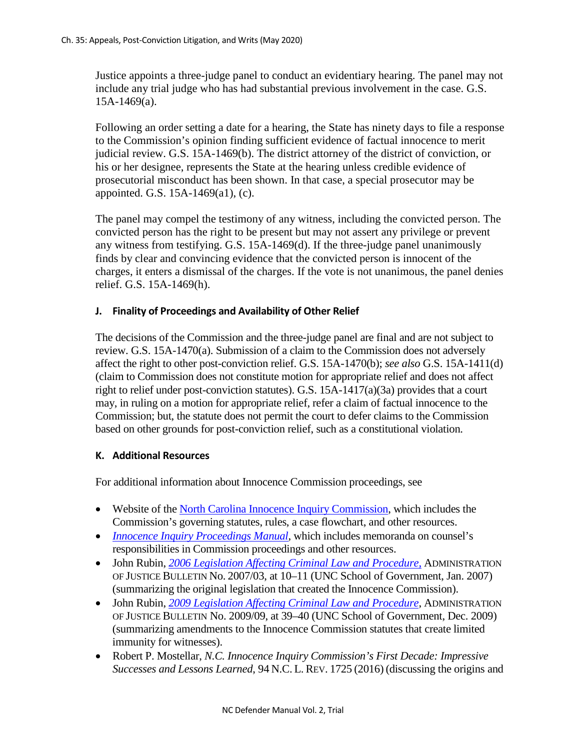Justice appoints a three-judge panel to conduct an evidentiary hearing. The panel may not include any trial judge who has had substantial previous involvement in the case. G.S. 15A-1469(a).

Following an order setting a date for a hearing, the State has ninety days to file a response to the Commission's opinion finding sufficient evidence of factual innocence to merit judicial review. G.S. 15A-1469(b). The district attorney of the district of conviction, or his or her designee, represents the State at the hearing unless credible evidence of prosecutorial misconduct has been shown. In that case, a special prosecutor may be appointed. G.S. 15A-1469(a1), (c).

The panel may compel the testimony of any witness, including the convicted person. The convicted person has the right to be present but may not assert any privilege or prevent any witness from testifying. G.S. 15A-1469(d). If the three-judge panel unanimously finds by clear and convincing evidence that the convicted person is innocent of the charges, it enters a dismissal of the charges. If the vote is not unanimous, the panel denies relief. G.S. 15A-1469(h).

#### **J. Finality of Proceedings and Availability of Other Relief**

The decisions of the Commission and the three-judge panel are final and are not subject to review. G.S. 15A-1470(a). Submission of a claim to the Commission does not adversely affect the right to other post-conviction relief. G.S. 15A-1470(b); *see also* G.S. 15A-1411(d) (claim to Commission does not constitute motion for appropriate relief and does not affect right to relief under post-conviction statutes). G.S. 15A-1417(a)(3a) provides that a court may, in ruling on a motion for appropriate relief, refer a claim of factual innocence to the Commission; but, the statute does not permit the court to defer claims to the Commission based on other grounds for post-conviction relief, such as a constitutional violation.

#### **K. Additional Resources**

For additional information about Innocence Commission proceedings, see

- Website of th[e North Carolina Innocence Inquiry Commission,](http://innocencecommission-nc.gov/) which includes the Commission's governing statutes, rules, a case flowchart, and other resources.
- *[Innocence Inquiry Proceedings Manual](http://www.ncids.org/Other%20Manuals/Innocence%20Inquiry/Innocence%20Inquiry%20Links.htm)*, which includes memoranda on counsel's responsibilities in Commission proceedings and other resources.
- John Rubin, *[2006 Legislation Affecting Criminal Law and Procedure](https://www.sog.unc.edu/sites/www.sog.unc.edu/files/reports/aojb0703.pdf)*, ADMINISTRATION OF JUSTICE BULLETIN No. 2007/03, at 10–11 (UNC School of Government, Jan. 2007) (summarizing the original legislation that created the Innocence Commission).
- John Rubin, *[2009 Legislation Affecting Criminal Law and Procedure](https://www.sog.unc.edu/sites/www.sog.unc.edu/files/reports/aojb0909.pdf)*, ADMINISTRATION OF JUSTICE BULLETIN No. 2009/09, at 39–40 (UNC School of Government, Dec. 2009) (summarizing amendments to the Innocence Commission statutes that create limited immunity for witnesses).
- Robert P. Mostellar, *N.C. Innocence Inquiry Commission's First Decade: Impressive Successes and Lessons Learned*, 94 N.C. L. REV. 1725 (2016) (discussing the origins and